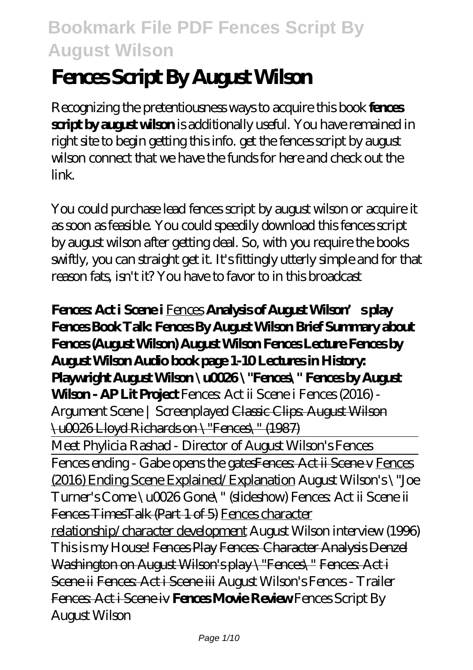# **Fences Script By August Wilson**

Recognizing the pretentiousness ways to acquire this book **fences script by august wilson** is additionally useful. You have remained in right site to begin getting this info. get the fences script by august wilson connect that we have the funds for here and check out the link.

You could purchase lead fences script by august wilson or acquire it as soon as feasible. You could speedily download this fences script by august wilson after getting deal. So, with you require the books swiftly, you can straight get it. It's fittingly utterly simple and for that reason fats, isn't it? You have to favor to in this broadcast

**Fences: Act i Scene i** Fences **Analysis of August Wilson's play Fences Book Talk: Fences By August Wilson Brief Summary about Fences (August Wilson) August Wilson Fences Lecture Fences by August Wilson Audio book page 1-10 Lectures in History: Playwright August Wilson \u0026 \"Fences\" Fences by August Wilson - AP Lit Project** Fences Act ii Scene i *Fences (2016)* -*Argument Scene | Screenplayed* Classic Clips: August Wilson \u0026 Lloyd Richards on \"Fences\" (1987) Meet Phylicia Rashad - Director of August Wilson's Fences Fences ending - Gabe opens the gatesFences Act ii Scene v Fences (2016) Ending Scene Explained/Explanation *August Wilson's \"Joe Turner's Come \u0026 Gone\" (slideshow) Fences: Act ii Scene ii* Fences TimesTalk (Part 1 of 5) Fences character relationship/character development *August Wilson interview (1996)* This is my House! Fences Play Fences: Character Analysis Denzel Washington on August Wilson's play \"Fences\" Fences: Act i Scene ii Fences: Act i Scene iii *August Wilson's Fences - Trailer* Fences: Act i Scene iv **Fences Movie Review** *Fences Script By August Wilson*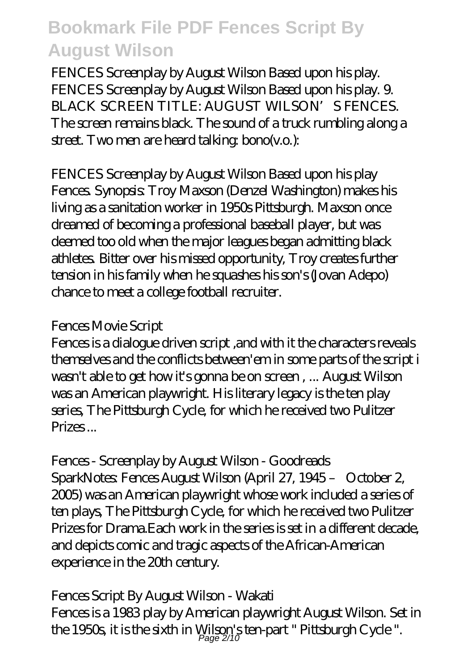FENCES Screenplay by August Wilson Based upon his play. FENCES Screenplay by August Wilson Based upon his play. 9. BLACK SCREEN TITLE: AUGUST WILSON'S FENCES. The screen remains black. The sound of a truck rumbling along a street. Two men are heard talking: bono(v.o.):

*FENCES Screenplay by August Wilson Based upon his play* Fences. Synopsis: Troy Maxson (Denzel Washington) makes his living as a sanitation worker in 1950s Pittsburgh. Maxson once dreamed of becoming a professional baseball player, but was deemed too old when the major leagues began admitting black athletes. Bitter over his missed opportunity, Troy creates further tension in his family when he squashes his son's (Jovan Adepo) chance to meet a college football recruiter.

#### *Fences Movie Script*

Fences is a dialogue driven script ,and with it the characters reveals themselves and the conflicts between'em in some parts of the script i wasn't able to get how it's gonna be on screen , ... August Wilson was an American playwright. His literary legacy is the ten play series, The Pittsburgh Cycle, for which he received two Pulitzer Prizes ...

### *Fences - Screenplay by August Wilson - Goodreads*

SparkNotes: Fences August Wilson (April 27, 1945 – October 2, 2005) was an American playwright whose work included a series of ten plays, The Pittsburgh Cycle, for which he received two Pulitzer Prizes for Drama.Each work in the series is set in a different decade, and depicts comic and tragic aspects of the African-American experience in the 20th century.

### *Fences Script By August Wilson - Wakati*

Fences is a 1983 play by American playwright August Wilson. Set in the 1950s, it is the sixth in Wilson's ten-part " Pittsburgh Cycle ".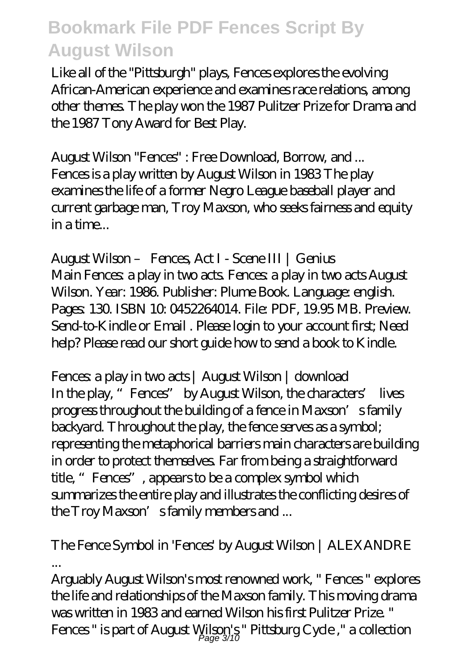Like all of the "Pittsburgh" plays, Fences explores the evolving African-American experience and examines race relations, among other themes. The play won the 1987 Pulitzer Prize for Drama and the 1987 Tony Award for Best Play.

*August Wilson "Fences" : Free Download, Borrow, and ...* Fences is a play written by August Wilson in 1983 The play examines the life of a former Negro League baseball player and current garbage man, Troy Maxson, who seeks fairness and equity in a time...

*August Wilson – Fences, Act I - Scene III | Genius* Main Fences: a play in two acts. Fences: a play in two acts August Wilson. Year: 1986. Publisher: Plume Book. Language: english. Pages: 130. ISBN 10: 0452264014. File: PDF, 19.95 MB. Preview. Send-to-Kindle or Email . Please login to your account first; Need help? Please read our short guide how to send a book to Kindle.

*Fences: a play in two acts | August Wilson | download* In the play, "Fences" by August Wilson, the characters' lives progress throughout the building of a fence in Maxson's family backyard. Throughout the play, the fence serves as a symbol; representing the metaphorical barriers main characters are building in order to protect themselves. Far from being a straightforward title, "Fences", appears to be a complex symbol which summarizes the entire play and illustrates the conflicting desires of the Troy Maxson's family members and ...

#### *The Fence Symbol in 'Fences' by August Wilson | ALEXANDRE ...*

Arguably August Wilson's most renowned work, " Fences " explores the life and relationships of the Maxson family. This moving drama was written in 1983 and earned Wilson his first Pulitzer Prize. " Fences" is part of August Wilson's" Pittsburg Cycle ," a collection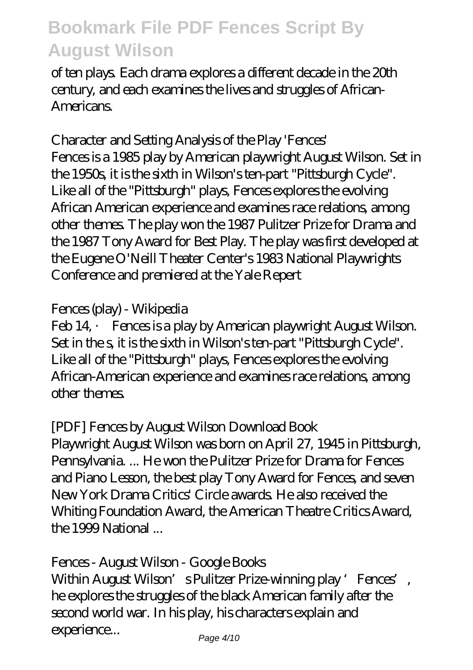of ten plays. Each drama explores a different decade in the 20th century, and each examines the lives and struggles of African-**Americans.** 

#### *Character and Setting Analysis of the Play 'Fences'*

Fences is a 1985 play by American playwright August Wilson. Set in the 1950s, it is the sixth in Wilson's ten-part "Pittsburgh Cycle". Like all of the "Pittsburgh" plays, Fences explores the evolving African American experience and examines race relations, among other themes. The play won the 1987 Pulitzer Prize for Drama and the 1987 Tony Award for Best Play. The play was first developed at the Eugene O'Neill Theater Center's 1983 National Playwrights Conference and premiered at the Yale Repert

#### *Fences (play) - Wikipedia*

Feb 14, · Fences is a play by American playwright August Wilson. Set in the s, it is the sixth in Wilson's ten-part "Pittsburgh Cycle". Like all of the "Pittsburgh" plays, Fences explores the evolving African-American experience and examines race relations, among other themes.

#### *[PDF] Fences by August Wilson Download Book*

Playwright August Wilson was born on April 27, 1945 in Pittsburgh, Pennsylvania. ... He won the Pulitzer Prize for Drama for Fences and Piano Lesson, the best play Tony Award for Fences, and seven New York Drama Critics' Circle awards. He also received the Whiting Foundation Award, the American Theatre Critics Award, the 1999 National ...

#### *Fences - August Wilson - Google Books*

Within August Wilson's Pulitzer Prize-winning play 'Fences', he explores the struggles of the black American family after the second world war. In his play, his characters explain and experience...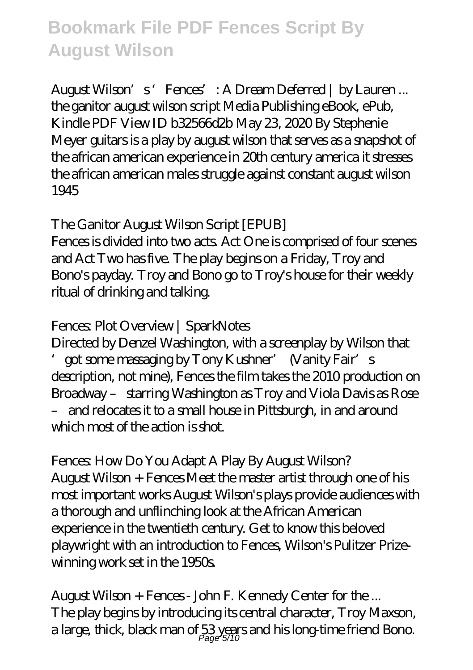*August Wilson's 'Fences': A Dream Deferred | by Lauren ...* the ganitor august wilson script Media Publishing eBook, ePub, Kindle PDF View ID b32566d2b May 23, 2020 By Stephenie Meyer guitars is a play by august wilson that serves as a snapshot of the african american experience in 20th century america it stresses the african american males struggle against constant august wilson 1945

#### *The Ganitor August Wilson Script [EPUB]*

Fences is divided into two acts. Act One is comprised of four scenes and Act Two has five. The play begins on a Friday, Troy and Bono's payday. Troy and Bono go to Troy's house for their weekly ritual of drinking and talking.

#### *Fences: Plot Overview | SparkNotes*

Directed by Denzel Washington, with a screenplay by Wilson that 'got some massaging by Tony Kushner' (Vanity Fair's description, not mine), Fences the film takes the 2010 production on Broadway – starring Washington as Troy and Viola Davis as Rose – and relocates it to a small house in Pittsburgh, in and around which most of the action is shot.

#### *Fences: How Do You Adapt A Play By August Wilson?*

August Wilson + Fences Meet the master artist through one of his most important works August Wilson's plays provide audiences with a thorough and unflinching look at the African American experience in the twentieth century. Get to know this beloved playwright with an introduction to Fences, Wilson's Pulitzer Prizewinning work set in the 1950s.

*August Wilson + Fences - John F. Kennedy Center for the ...* The play begins by introducing its central character, Troy Maxson, a large, thick, black man of 53 years and his long-time friend Bono.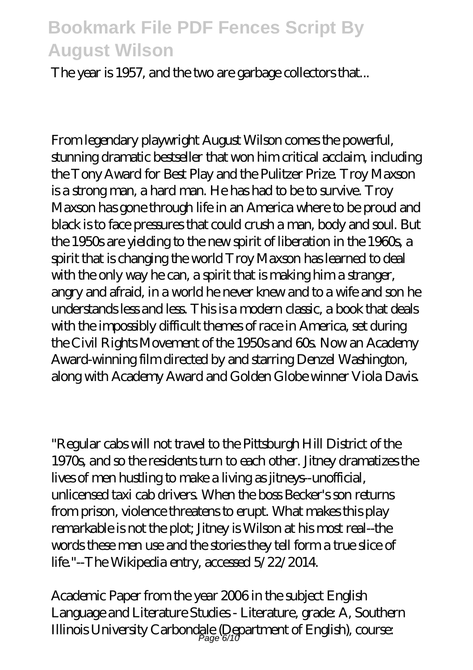The year is 1957, and the two are garbage collectors that...

From legendary playwright August Wilson comes the powerful, stunning dramatic bestseller that won him critical acclaim, including the Tony Award for Best Play and the Pulitzer Prize. Troy Maxson is a strong man, a hard man. He has had to be to survive. Troy Maxson has gone through life in an America where to be proud and black is to face pressures that could crush a man, body and soul. But the 1950s are yielding to the new spirit of liberation in the 1960s, a spirit that is changing the world Troy Maxson has learned to deal with the only way he can, a spirit that is making him a stranger, angry and afraid, in a world he never knew and to a wife and son he understands less and less. This is a modern classic, a book that deals with the impossibly difficult themes of race in America, set during the Civil Rights Movement of the 1950s and 60s. Now an Academy Award-winning film directed by and starring Denzel Washington, along with Academy Award and Golden Globe winner Viola Davis.

"Regular cabs will not travel to the Pittsburgh Hill District of the 1970s, and so the residents turn to each other. Jitney dramatizes the lives of men hustling to make a living as jitneys--unofficial, unlicensed taxi cab drivers. When the boss Becker's son returns from prison, violence threatens to erupt. What makes this play remarkable is not the plot; Jitney is Wilson at his most real--the words these men use and the stories they tell form a true slice of life."--The Wikipedia entry, accessed 5/22/2014.

Academic Paper from the year 2006 in the subject English Language and Literature Studies - Literature, grade: A, Southern Illinois University Carbondale (Department of English), course:<br> $\rho_{\text{age 6/10}}$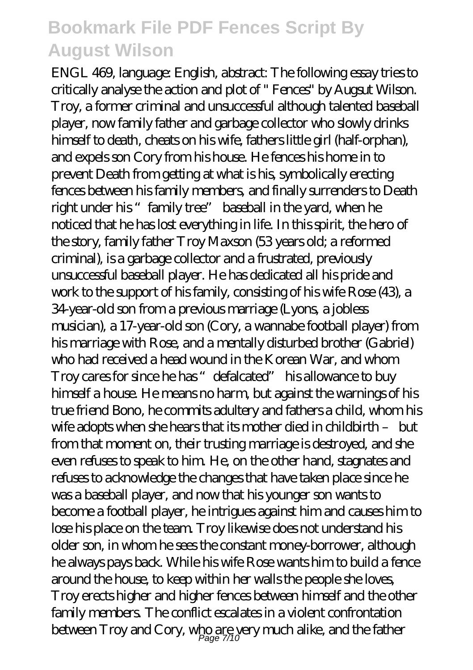ENGL 469, language: English, abstract: The following essay tries to critically analyse the action and plot of " Fences" by Augsut Wilson. Troy, a former criminal and unsuccessful although talented baseball player, now family father and garbage collector who slowly drinks himself to death, cheats on his wife, fathers little girl (half-orphan), and expels son Cory from his house. He fences his home in to prevent Death from getting at what is his, symbolically erecting fences between his family members, and finally surrenders to Death right under his "family tree" baseball in the yard, when he noticed that he has lost everything in life. In this spirit, the hero of the story, family father Troy Maxson (53 years old; a reformed criminal), is a garbage collector and a frustrated, previously unsuccessful baseball player. He has dedicated all his pride and work to the support of his family, consisting of his wife Rose (43), a 34-year-old son from a previous marriage (Lyons, a jobless musician), a 17-year-old son (Cory, a wannabe football player) from his marriage with Rose, and a mentally disturbed brother (Gabriel) who had received a head wound in the Korean War, and whom Troy cares for since he has "defalcated" his allowance to buy himself a house. He means no harm, but against the warnings of his true friend Bono, he commits adultery and fathers a child, whom his wife adopts when she hears that its mother died in childbirth – but from that moment on, their trusting marriage is destroyed, and she even refuses to speak to him. He, on the other hand, stagnates and refuses to acknowledge the changes that have taken place since he was a baseball player, and now that his younger son wants to become a football player, he intrigues against him and causes him to lose his place on the team. Troy likewise does not understand his older son, in whom he sees the constant money-borrower, although he always pays back. While his wife Rose wants him to build a fence around the house, to keep within her walls the people she loves, Troy erects higher and higher fences between himself and the other family members. The conflict escalates in a violent confrontation between Troy and Cory, who are yery much alike, and the father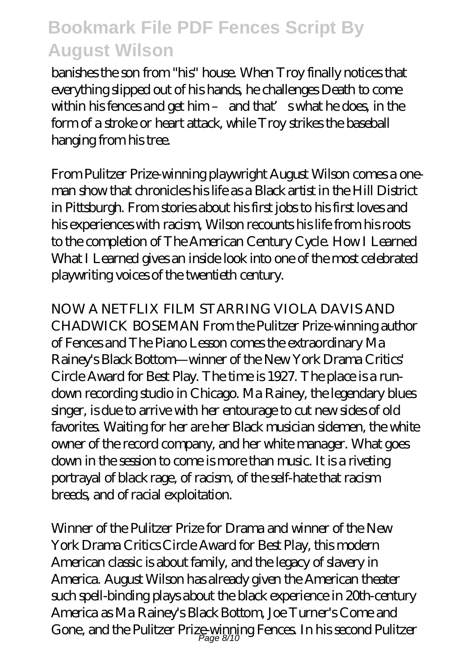banishes the son from "his" house. When Troy finally notices that everything slipped out of his hands, he challenges Death to come within his fences and get him- and that's what he does, in the form of a stroke or heart attack, while Troy strikes the baseball hanging from his tree.

From Pulitzer Prize-winning playwright August Wilson comes a oneman show that chronicles his life as a Black artist in the Hill District in Pittsburgh. From stories about his first jobs to his first loves and his experiences with racism, Wilson recounts his life from his roots to the completion of The American Century Cycle. How I Learned What I Learned gives an inside look into one of the most celebrated playwriting voices of the twentieth century.

NOW A NETFLIX FILM STARRING VIOLA DAVIS AND CHADWICK BOSEMAN From the Pulitzer Prize-winning author of Fences and The Piano Lesson comes the extraordinary Ma Rainey's Black Bottom—winner of the New York Drama Critics' Circle Award for Best Play. The time is 1927. The place is a rundown recording studio in Chicago. Ma Rainey, the legendary blues singer, is due to arrive with her entourage to cut new sides of old favorites. Waiting for her are her Black musician sidemen, the white owner of the record company, and her white manager. What goes down in the session to come is more than music. It is a riveting portrayal of black rage, of racism, of the self-hate that racism breeds, and of racial exploitation.

Winner of the Pulitzer Prize for Drama and winner of the New York Drama Critics Circle Award for Best Play, this modern American classic is about family, and the legacy of slavery in America. August Wilson has already given the American theater such spell-binding plays about the black experience in 20th-century America as Ma Rainey's Black Bottom, Joe Turner's Come and Gone, and the Pulitzer Prize-winning Fences. In his second Pulitzer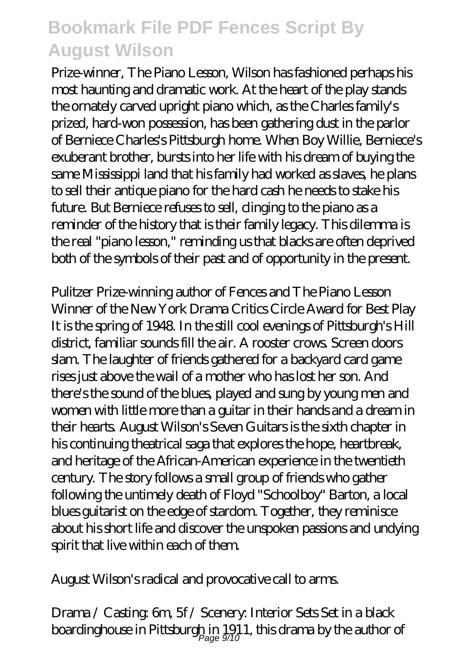Prize-winner, The Piano Lesson, Wilson has fashioned perhaps his most haunting and dramatic work. At the heart of the play stands the ornately carved upright piano which, as the Charles family's prized, hard-won possession, has been gathering dust in the parlor of Berniece Charles's Pittsburgh home. When Boy Willie, Berniece's exuberant brother, bursts into her life with his dream of buying the same Mississippi land that his family had worked as slaves, he plans to sell their antique piano for the hard cash he needs to stake his future. But Berniece refuses to sell, clinging to the piano as a reminder of the history that is their family legacy. This dilemma is the real "piano lesson," reminding us that blacks are often deprived both of the symbols of their past and of opportunity in the present.

Pulitzer Prize-winning author of Fences and The Piano Lesson Winner of the New York Drama Critics Circle Award for Best Play It is the spring of 1948. In the still cool evenings of Pittsburgh's Hill district, familiar sounds fill the air. A rooster crows. Screen doors slam. The laughter of friends gathered for a backyard card game rises just above the wail of a mother who has lost her son. And there's the sound of the blues, played and sung by young men and women with little more than a guitar in their hands and a dream in their hearts. August Wilson's Seven Guitars is the sixth chapter in his continuing theatrical saga that explores the hope, heartbreak, and heritage of the African-American experience in the twentieth century. The story follows a small group of friends who gather following the untimely death of Floyd "Schoolboy" Barton, a local blues guitarist on the edge of stardom. Together, they reminisce about his short life and discover the unspoken passions and undying spirit that live within each of them.

August Wilson's radical and provocative call to arms.

Drama / Casting: 6m, 5f / Scenery: Interior Sets Set in a black boardinghouse in Pittsburgh in 1911, this drama by the author of